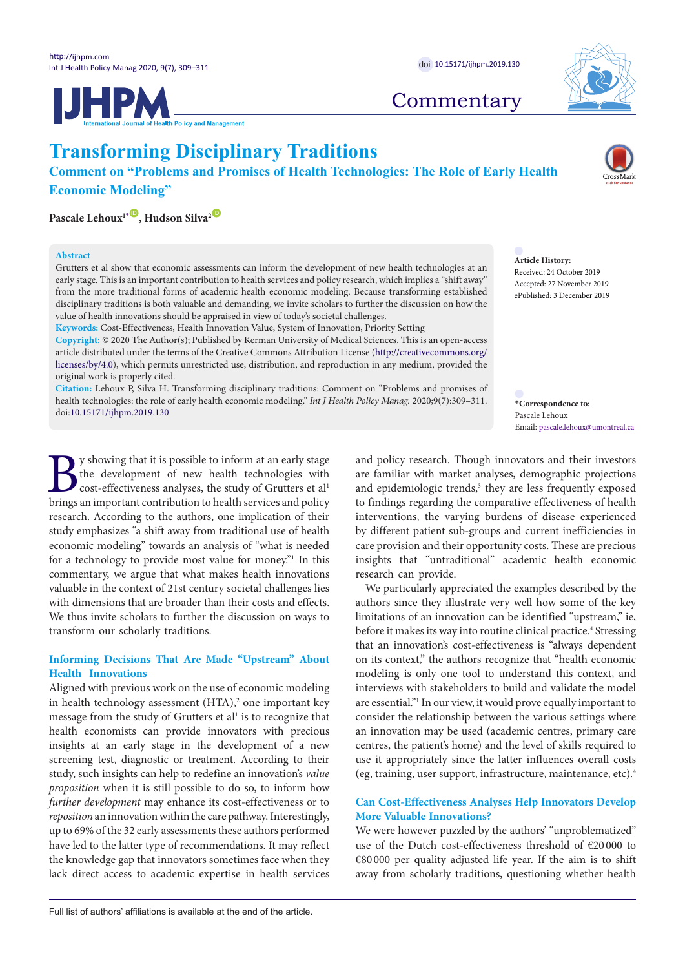



## **Commentary**

# **Transforming Disciplinary Traditions**

**Comment on "Problems and Promises of Health Technologies: The Role of Early Health Economic Modeling"**

 $Pascal$ e Lehoux<sup>1</sub><sup>[\\*](#page-0-0)</sup> **D**, Hudson Silva<sup>2</sup> **D**</sup>

### **Abstract**

Grutters et al show that economic assessments can inform the development of new health technologies at an early stage. This is an important contribution to health services and policy research, which implies a "shift away" from the more traditional forms of academic health economic modeling. Because transforming established disciplinary traditions is both valuable and demanding, we invite scholars to further the discussion on how the value of health innovations should be appraised in view of today's societal challenges.

**Keywords:** Cost-Effectiveness, Health Innovation Value, System of Innovation, Priority Setting

**Copyright:** © 2020 The Author(s); Published by Kerman University of Medical Sciences. This is an open-access article distributed under the terms of the Creative Commons Attribution License [\(http://creativecommons.org/](http://creativecommons.org/licenses/by/4.0) [licenses/by/4.0](http://creativecommons.org/licenses/by/4.0)), which permits unrestricted use, distribution, and reproduction in any medium, provided the original work is properly cited.

**Citation:** Lehoux P, Silva H. Transforming disciplinary traditions: Comment on "Problems and promises of health technologies: the role of early health economic modeling." *Int J Health Policy Manag.* 2020;9(7):309–311. doi[:10.15171/ijhpm.2019.130](https://doi.org/10.15171/ijhpm.2019.130) **\*Correspondence to:**

By showing that it is possible to inform at an early stage the development of new health technologies with cost-effectiveness analyses, the study of Grutters et al<sup>1</sup> brings an important contribution to health services and policy research. According to the authors, one implication of their study emphasizes "a shift away from traditional use of health economic modeling" towards an analysis of "what is needed for a technology to provide most value for money." In this commentary, we argue that what makes health innovations valuable in the context of 21st century societal challenges lies with dimensions that are broader than their costs and effects. We thus invite scholars to further the discussion on ways to transform our scholarly traditions.

## **Informing Decisions That Are Made "Upstream" About Health Innovations**

Aligned with previous work on the use of economic modeling in health technology assessment (HTA),<sup>2</sup> one important key message from the study of Grutters et al<sup>1</sup> is to recognize that health economists can provide innovators with precious insights at an early stage in the development of a new screening test, diagnostic or treatment. According to their study, such insights can help to redefine an innovation's *value proposition* when it is still possible to do so, to inform how *further development* may enhance its cost-effectiveness or to *reposition* an innovation within the care pathway. Interestingly, up to 69% of the 32 early assessments these authors performed have led to the latter type of recommendations. It may reflect the knowledge gap that innovators sometimes face when they lack direct access to academic expertise in health services **Article History:** Received: 24 October 2019 Accepted: 27 November 2019 ePublished: 3 December 2019

<span id="page-0-0"></span>Pascale Lehoux Email: pascale.lehoux@umontreal.ca

and policy research. Though innovators and their investors are familiar with market analyses, demographic projections and epidemiologic trends,<sup>3</sup> they are less frequently exposed to findings regarding the comparative effectiveness of health interventions, the varying burdens of disease experienced by different patient sub-groups and current inefficiencies in care provision and their opportunity costs. These are precious insights that "untraditional" academic health economic research can provide.

We particularly appreciated the examples described by the authors since they illustrate very well how some of the key limitations of an innovation can be identified "upstream," ie, before it makes its way into routine clinical practice.<sup>4</sup> Stressing that an innovation's cost-effectiveness is "always dependent on its context," the authors recognize that "health economic modeling is only one tool to understand this context, and interviews with stakeholders to build and validate the model are essential."1 In our view, it would prove equally important to consider the relationship between the various settings where an innovation may be used (academic centres, primary care centres, the patient's home) and the level of skills required to use it appropriately since the latter influences overall costs (eg, training, user support, infrastructure, maintenance, etc).4

## **Can Cost-Effectiveness Analyses Help Innovators Develop More Valuable Innovations?**

We were however puzzled by the authors' "unproblematized" use of the Dutch cost-effectiveness threshold of €20 000 to €80 000 per quality adjusted life year. If the aim is to shift away from scholarly traditions, questioning whether health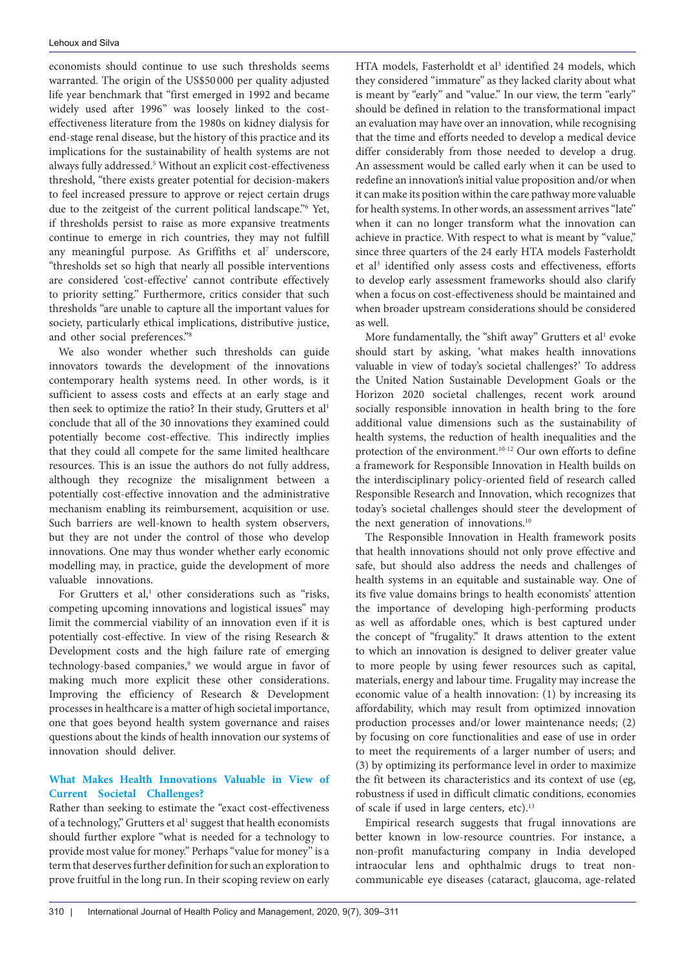economists should continue to use such thresholds seems warranted. The origin of the US\$50 000 per quality adjusted life year benchmark that "first emerged in 1992 and became widely used after 1996" was loosely linked to the costeffectiveness literature from the 1980s on kidney dialysis for end-stage renal disease, but the history of this practice and its implications for the sustainability of health systems are not always fully addressed.<sup>5</sup> Without an explicit cost-effectiveness threshold, "there exists greater potential for decision-makers to feel increased pressure to approve or reject certain drugs due to the zeitgeist of the current political landscape."<sup>6</sup> Yet, if thresholds persist to raise as more expansive treatments continue to emerge in rich countries, they may not fulfill any meaningful purpose. As Griffiths et al<sup>7</sup> underscore, "thresholds set so high that nearly all possible interventions are considered 'cost‐effective' cannot contribute effectively to priority setting." Furthermore, critics consider that such thresholds "are unable to capture all the important values for society, particularly ethical implications, distributive justice, and other social preferences."8

We also wonder whether such thresholds can guide innovators towards the development of the innovations contemporary health systems need. In other words, is it sufficient to assess costs and effects at an early stage and then seek to optimize the ratio? In their study, Grutters et al<sup>1</sup> conclude that all of the 30 innovations they examined could potentially become cost-effective. This indirectly implies that they could all compete for the same limited healthcare resources. This is an issue the authors do not fully address, although they recognize the misalignment between a potentially cost-effective innovation and the administrative mechanism enabling its reimbursement, acquisition or use. Such barriers are well-known to health system observers, but they are not under the control of those who develop innovations. One may thus wonder whether early economic modelling may, in practice, guide the development of more valuable innovations.

For Grutters et al,<sup>1</sup> other considerations such as "risks, competing upcoming innovations and logistical issues" may limit the commercial viability of an innovation even if it is potentially cost-effective. In view of the rising Research & Development costs and the high failure rate of emerging technology-based companies,<sup>9</sup> we would argue in favor of making much more explicit these other considerations. Improving the efficiency of Research & Development processes in healthcare is a matter of high societal importance, one that goes beyond health system governance and raises questions about the kinds of health innovation our systems of innovation should deliver.

## **What Makes Health Innovations Valuable in View of Current Societal Challenges?**

Rather than seeking to estimate the "exact cost-effectiveness of a technology," Grutters et al<sup>1</sup> suggest that health economists should further explore "what is needed for a technology to provide most value for money." Perhaps "value for money" is a term that deserves further definition for such an exploration to prove fruitful in the long run. In their scoping review on early HTA models, Fasterholdt et al<sup>3</sup> identified 24 models, which they considered "immature" as they lacked clarity about what is meant by "early" and "value." In our view, the term "early" should be defined in relation to the transformational impact an evaluation may have over an innovation, while recognising that the time and efforts needed to develop a medical device differ considerably from those needed to develop a drug. An assessment would be called early when it can be used to redefine an innovation's initial value proposition and/or when it can make its position within the care pathway more valuable for health systems. In other words, an assessment arrives "late" when it can no longer transform what the innovation can achieve in practice. With respect to what is meant by "value," since three quarters of the 24 early HTA models Fasterholdt et al<sup>3</sup> identified only assess costs and effectiveness, efforts to develop early assessment frameworks should also clarify when a focus on cost-effectiveness should be maintained and when broader upstream considerations should be considered as well.

More fundamentally, the "shift away" Grutters et al<sup>1</sup> evoke should start by asking, 'what makes health innovations valuable in view of today's societal challenges?' To address the United Nation Sustainable Development Goals or the Horizon 2020 societal challenges, recent work around socially responsible innovation in health bring to the fore additional value dimensions such as the sustainability of health systems, the reduction of health inequalities and the protection of the environment.<sup>10-12</sup> Our own efforts to define a framework for Responsible Innovation in Health builds on the interdisciplinary policy-oriented field of research called Responsible Research and Innovation, which recognizes that today's societal challenges should steer the development of the next generation of innovations.<sup>10</sup>

The Responsible Innovation in Health framework posits that health innovations should not only prove effective and safe, but should also address the needs and challenges of health systems in an equitable and sustainable way. One of its five value domains brings to health economists' attention the importance of developing high-performing products as well as affordable ones, which is best captured under the concept of "frugality." It draws attention to the extent to which an innovation is designed to deliver greater value to more people by using fewer resources such as capital, materials, energy and labour time. Frugality may increase the economic value of a health innovation: (1) by increasing its affordability, which may result from optimized innovation production processes and/or lower maintenance needs; (2) by focusing on core functionalities and ease of use in order to meet the requirements of a larger number of users; and (3) by optimizing its performance level in order to maximize the fit between its characteristics and its context of use (eg, robustness if used in difficult climatic conditions, economies of scale if used in large centers, etc).<sup>13</sup>

Empirical research suggests that frugal innovations are better known in low-resource countries. For instance, a non-profit manufacturing company in India developed intraocular lens and ophthalmic drugs to treat noncommunicable eye diseases (cataract, glaucoma, age-related